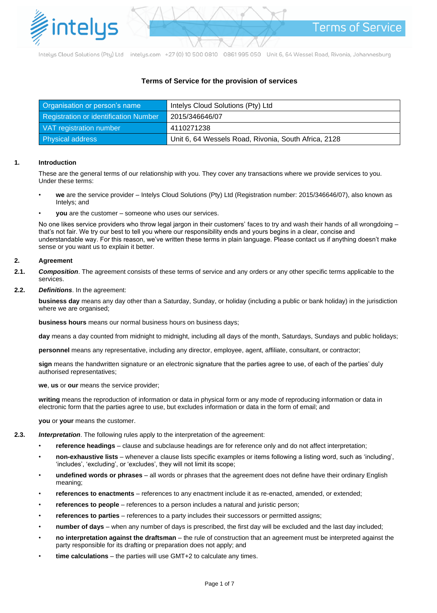

Intelys Cloud Solutions (Pty) Ltd intelys.com +27 (0) 10 500 0810 0861 995 050 Unit 6, 64 Wessel Road, Rivonia, Johannesburg

# **Terms of Service for the provision of services**

| Organisation or person's name         | Intelys Cloud Solutions (Pty) Ltd                    |
|---------------------------------------|------------------------------------------------------|
| Registration or identification Number | 2015/346646/07                                       |
| VAT registration number               | 4110271238                                           |
| <b>Physical address</b>               | Unit 6, 64 Wessels Road, Rivonia, South Africa, 2128 |

## **1. Introduction**

These are the general terms of our relationship with you. They cover any transactions where we provide services to you. Under these terms:

- **we** are the service provider Intelys Cloud Solutions (Pty) Ltd (Registration number: 2015/346646/07), also known as Intelys; and
- **you** are the customer someone who uses our services.

No one likes service providers who throw legal jargon in their customers' faces to try and wash their hands of all wrongdoing – that's not fair. We try our best to tell you where our responsibility ends and yours begins in a clear, concise and understandable way. For this reason, we've written these terms in plain language. Please contact us if anything doesn't make sense or you want us to explain it better.

## **2. Agreement**

- **2.1.** *Composition*. The agreement consists of these terms of service and any orders or any other specific terms applicable to the services.
- **2.2.** *Definitions*. In the agreement:

**business day** means any day other than a Saturday, Sunday, or holiday (including a public or bank holiday) in the jurisdiction where we are organised;

**business hours** means our normal business hours on business days;

**day** means a day counted from midnight to midnight, including all days of the month, Saturdays, Sundays and public holidays;

**personnel** means any representative, including any director, employee, agent, affiliate, consultant, or contractor;

**sign** means the handwritten signature or an electronic signature that the parties agree to use, of each of the parties' duly authorised representatives;

**we**, **us** or **our** means the service provider;

**writing** means the reproduction of information or data in physical form or any mode of reproducing information or data in electronic form that the parties agree to use, but excludes information or data in the form of email; and

**you** or **your** means the customer.

- **2.3.** *Interpretation*. The following rules apply to the interpretation of the agreement:
	- **reference headings** clause and subclause headings are for reference only and do not affect interpretation;
	- **non-exhaustive lists** whenever a clause lists specific examples or items following a listing word, such as 'including', 'includes', 'excluding', or 'excludes', they will not limit its scope;
	- **undefined words or phrases** all words or phrases that the agreement does not define have their ordinary English meaning;
	- **references to enactments** references to any enactment include it as re-enacted, amended, or extended;
	- **references to people** references to a person includes a natural and juristic person;
	- **references to parties** references to a party includes their successors or permitted assigns;
	- **number of days** when any number of days is prescribed, the first day will be excluded and the last day included;
	- **no interpretation against the draftsman** the rule of construction that an agreement must be interpreted against the party responsible for its drafting or preparation does not apply; and
	- **time calculations** the parties will use GMT+2 to calculate any times.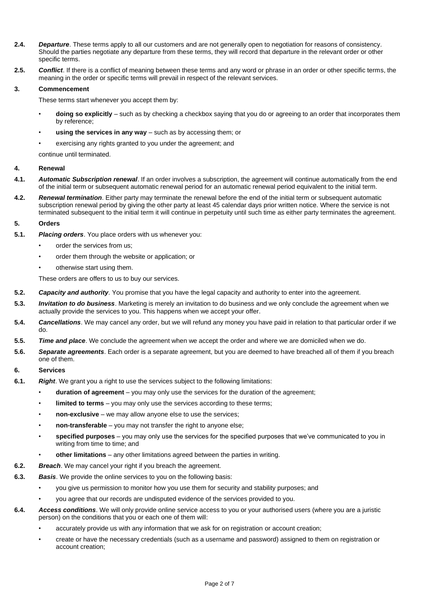- **2.4.** *Departure*. These terms apply to all our customers and are not generally open to negotiation for reasons of consistency. Should the parties negotiate any departure from these terms, they will record that departure in the relevant order or other specific terms.
- **2.5.** *Conflict*. If there is a conflict of meaning between these terms and any word or phrase in an order or other specific terms, the meaning in the order or specific terms will prevail in respect of the relevant services.

## **3. Commencement**

These terms start whenever you accept them by:

- **doing so explicitly** such as by checking a checkbox saying that you do or agreeing to an order that incorporates them by reference;
- **using the services in any way** such as by accessing them; or
- exercising any rights granted to you under the agreement; and

continue until terminated.

## **4. Renewal**

- **4.1.** *Automatic Subscription renewal*. If an order involves a subscription, the agreement will continue automatically from the end of the initial term or subsequent automatic renewal period for an automatic renewal period equivalent to the initial term.
- **4.2.** *Renewal termination*. Either party may terminate the renewal before the end of the initial term or subsequent automatic subscription renewal period by giving the other party at least 45 calendar days prior written notice. Where the service is not terminated subsequent to the initial term it will continue in perpetuity until such time as either party terminates the agreement.

## **5. Orders**

- **5.1.** *Placing orders*. You place orders with us whenever you:
	- order the services from us:
	- order them through the website or application; or
	- otherwise start using them.

These orders are offers to us to buy our services.

- **5.2.** *Capacity and authority*. You promise that you have the legal capacity and authority to enter into the agreement.
- **5.3.** *Invitation to do business*. Marketing is merely an invitation to do business and we only conclude the agreement when we actually provide the services to you. This happens when we accept your offer.
- **5.4.** *Cancellations*. We may cancel any order, but we will refund any money you have paid in relation to that particular order if we do.
- **5.5.** *Time and place*. We conclude the agreement when we accept the order and where we are domiciled when we do.
- **5.6.** *Separate agreements*. Each order is a separate agreement, but you are deemed to have breached all of them if you breach one of them.

## **6. Services**

- **6.1.** *Right*. We grant you a right to use the services subject to the following limitations:
	- **duration of agreement** you may only use the services for the duration of the agreement;
	- **limited to terms** you may only use the services according to these terms;
	- **non-exclusive** we may allow anyone else to use the services;
	- **non-transferable** you may not transfer the right to anyone else;
	- **specified purposes** you may only use the services for the specified purposes that we've communicated to you in writing from time to time; and
	- **other limitations** any other limitations agreed between the parties in writing.
- **6.2.** *Breach*. We may cancel your right if you breach the agreement.
- **6.3.** *Basis*. We provide the online services to you on the following basis:
	- you give us permission to monitor how you use them for security and stability purposes; and
	- you agree that our records are undisputed evidence of the services provided to you.
- **6.4.** *Access conditions*. We will only provide online service access to you or your authorised users (where you are a juristic person) on the conditions that you or each one of them will:
	- accurately provide us with any information that we ask for on registration or account creation;
	- create or have the necessary credentials (such as a username and password) assigned to them on registration or account creation;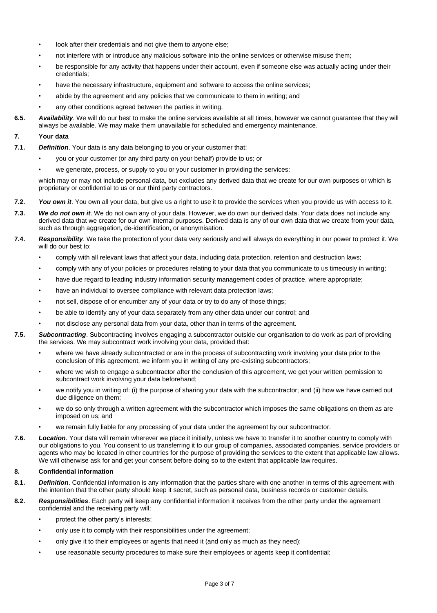- look after their credentials and not give them to anyone else;
- not interfere with or introduce any malicious software into the online services or otherwise misuse them;
- be responsible for any activity that happens under their account, even if someone else was actually acting under their credentials;
- have the necessary infrastructure, equipment and software to access the online services;
- abide by the agreement and any policies that we communicate to them in writing; and
- any other conditions agreed between the parties in writing.
- **6.5.** *Availability*. We will do our best to make the online services available at all times, however we cannot guarantee that they will always be available. We may make them unavailable for scheduled and emergency maintenance.

### **7. Your data**

- **7.1.** *Definition*. Your data is any data belonging to you or your customer that:
	- you or your customer (or any third party on your behalf) provide to us; or
	- we generate, process, or supply to you or your customer in providing the services;

which may or may not include personal data, but excludes any derived data that we create for our own purposes or which is proprietary or confidential to us or our third party contractors.

- **7.2.** *You own it*. You own all your data, but give us a right to use it to provide the services when you provide us with access to it.
- **7.3.** *We do not own it*. We do not own any of your data. However, we do own our derived data. Your data does not include any derived data that we create for our own internal purposes. Derived data is any of our own data that we create from your data, such as through aggregation, de-identification, or anonymisation.

#### **7.4.** *Responsibility*. We take the protection of your data very seriously and will always do everything in our power to protect it. We will do our best to:

- comply with all relevant laws that affect your data, including data protection, retention and destruction laws;
- comply with any of your policies or procedures relating to your data that you communicate to us timeously in writing;
- have due regard to leading industry information security management codes of practice, where appropriate;
- have an individual to oversee compliance with relevant data protection laws;
- not sell, dispose of or encumber any of your data or try to do any of those things;
- be able to identify any of your data separately from any other data under our control; and
- not disclose any personal data from your data, other than in terms of the agreement.
- **7.5.** *Subcontracting*. Subcontracting involves engaging a subcontractor outside our organisation to do work as part of providing the services. We may subcontract work involving your data, provided that:
	- where we have already subcontracted or are in the process of subcontracting work involving your data prior to the conclusion of this agreement, we inform you in writing of any pre-existing subcontractors;
	- where we wish to engage a subcontractor after the conclusion of this agreement, we get your written permission to subcontract work involving your data beforehand;
	- we notify you in writing of: (i) the purpose of sharing your data with the subcontractor; and (ii) how we have carried out due diligence on them;
	- we do so only through a written agreement with the subcontractor which imposes the same obligations on them as are imposed on us; and
	- we remain fully liable for any processing of your data under the agreement by our subcontractor.
- **7.6.** *Location*. Your data will remain wherever we place it initially, unless we have to transfer it to another country to comply with our obligations to you. You consent to us transferring it to our group of companies, associated companies, service providers or agents who may be located in other countries for the purpose of providing the services to the extent that applicable law allows. We will otherwise ask for and get your consent before doing so to the extent that applicable law requires.

## **8. Confidential information**

- **8.1.** *Definition*. Confidential information is any information that the parties share with one another in terms of this agreement with the intention that the other party should keep it secret, such as personal data, business records or customer details.
- **8.2.** *Responsibilities*. Each party will keep any confidential information it receives from the other party under the agreement confidential and the receiving party will:
	- protect the other party's interests;
	- only use it to comply with their responsibilities under the agreement;
	- only give it to their employees or agents that need it (and only as much as they need);
	- use reasonable security procedures to make sure their employees or agents keep it confidential;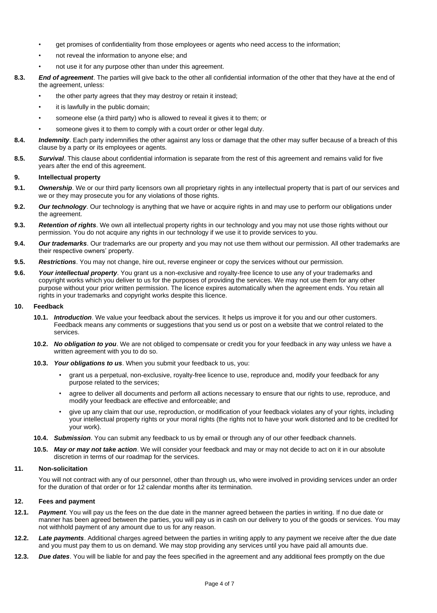- get promises of confidentiality from those employees or agents who need access to the information;
- not reveal the information to anyone else; and
- not use it for any purpose other than under this agreement.
- **8.3.** *End of agreement*. The parties will give back to the other all confidential information of the other that they have at the end of the agreement, unless:
	- the other party agrees that they may destroy or retain it instead;
	- it is lawfully in the public domain;
	- someone else (a third party) who is allowed to reveal it gives it to them; or
	- someone gives it to them to comply with a court order or other legal duty.
- **8.4.** *Indemnity*. Each party indemnifies the other against any loss or damage that the other may suffer because of a breach of this clause by a party or its employees or agents.
- **8.5.** *Survival*. This clause about confidential information is separate from the rest of this agreement and remains valid for five years after the end of this agreement.

#### **9. Intellectual property**

- **9.1.** *Ownership*. We or our third party licensors own all proprietary rights in any intellectual property that is part of our services and we or they may prosecute you for any violations of those rights.
- **9.2.** *Our technology*. Our technology is anything that we have or acquire rights in and may use to perform our obligations under the agreement.
- **9.3.** *Retention of rights*. We own all intellectual property rights in our technology and you may not use those rights without our permission. You do not acquire any rights in our technology if we use it to provide services to you.
- **9.4.** *Our trademarks*. Our trademarks are our property and you may not use them without our permission. All other trademarks are their respective owners' property.
- **9.5.** *Restrictions*. You may not change, hire out, reverse engineer or copy the services without our permission.
- **9.6.** *Your intellectual property*. You grant us a non-exclusive and royalty-free licence to use any of your trademarks and copyright works which you deliver to us for the purposes of providing the services. We may not use them for any other purpose without your prior written permission. The licence expires automatically when the agreement ends. You retain all rights in your trademarks and copyright works despite this licence.

### **10. Feedback**

- **10.1.** *Introduction*. We value your feedback about the services. It helps us improve it for you and our other customers. Feedback means any comments or suggestions that you send us or post on a website that we control related to the services.
- **10.2.** *No obligation to you*. We are not obliged to compensate or credit you for your feedback in any way unless we have a written agreement with you to do so.
- **10.3.** *Your obligations to us*. When you submit your feedback to us, you:
	- grant us a perpetual, non-exclusive, royalty-free licence to use, reproduce and, modify your feedback for any purpose related to the services;
	- agree to deliver all documents and perform all actions necessary to ensure that our rights to use, reproduce, and modify your feedback are effective and enforceable; and
	- give up any claim that our use, reproduction, or modification of your feedback violates any of your rights, including your intellectual property rights or your moral rights (the rights not to have your work distorted and to be credited for your work).
- **10.4.** *Submission*. You can submit any feedback to us by email or through any of our other feedback channels.
- **10.5.** *May or may not take action*. We will consider your feedback and may or may not decide to act on it in our absolute discretion in terms of our roadmap for the services.

## **11. Non-solicitation**

You will not contract with any of our personnel, other than through us, who were involved in providing services under an order for the duration of that order or for 12 calendar months after its termination.

## **12. Fees and payment**

- **12.1.** *Payment*. You will pay us the fees on the due date in the manner agreed between the parties in writing. If no due date or manner has been agreed between the parties, you will pay us in cash on our delivery to you of the goods or services. You may not withhold payment of any amount due to us for any reason.
- **12.2.** *Late payments*. Additional charges agreed between the parties in writing apply to any payment we receive after the due date and you must pay them to us on demand. We may stop providing any services until you have paid all amounts due.
- **12.3.** *Due dates*. You will be liable for and pay the fees specified in the agreement and any additional fees promptly on the due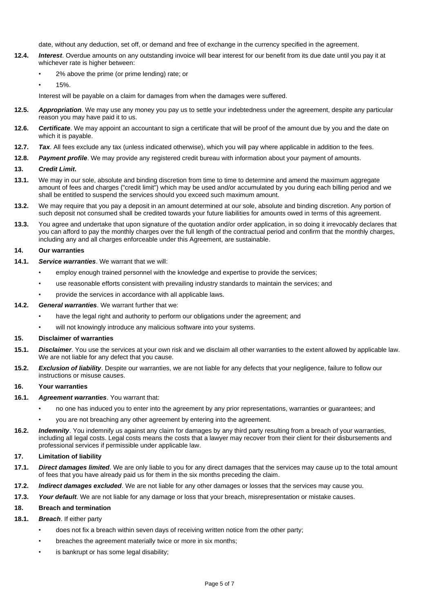date, without any deduction, set off, or demand and free of exchange in the currency specified in the agreement.

- **12.4.** *Interest*. Overdue amounts on any outstanding invoice will bear interest for our benefit from its due date until you pay it at whichever rate is higher between:
	- 2% above the prime (or prime lending) rate; or
	- 15%.

Interest will be payable on a claim for damages from when the damages were suffered.

- **12.5.** *Appropriation*. We may use any money you pay us to settle your indebtedness under the agreement, despite any particular reason you may have paid it to us.
- **12.6.** *Certificate*. We may appoint an accountant to sign a certificate that will be proof of the amount due by you and the date on which it is payable.
- **12.7.** *Tax*. All fees exclude any tax (unless indicated otherwise), which you will pay where applicable in addition to the fees.
- **12.8.** *Payment profile*. We may provide any registered credit bureau with information about your payment of amounts.

#### **13.** *Credit Limit***.**

- **13.1.** We may in our sole, absolute and binding discretion from time to time to determine and amend the maximum aggregate amount of fees and charges ("credit limit") which may be used and/or accumulated by you during each billing period and we shall be entitled to suspend the services should you exceed such maximum amount.
- **13.2.** We may require that you pay a deposit in an amount determined at our sole, absolute and binding discretion. Any portion of such deposit not consumed shall be credited towards your future liabilities for amounts owed in terms of this agreement.
- **13.3.** You agree and undertake that upon signature of the quotation and/or order application, in so doing it irrevocably declares that you can afford to pay the monthly charges over the full length of the contractual period and confirm that the monthly charges, including any and all charges enforceable under this Agreement, are sustainable.

### **14. Our warranties**

- **14.1.** *Service warranties*. We warrant that we will:
	- employ enough trained personnel with the knowledge and expertise to provide the services;
	- use reasonable efforts consistent with prevailing industry standards to maintain the services; and
	- provide the services in accordance with all applicable laws.
- **14.2.** *General warranties*. We warrant further that we:
	- have the legal right and authority to perform our obligations under the agreement; and
	- will not knowingly introduce any malicious software into your systems.

#### **15. Disclaimer of warranties**

- **15.1.** *Disclaimer*. You use the services at your own risk and we disclaim all other warranties to the extent allowed by applicable law. We are not liable for any defect that you cause.
- **15.2.** *Exclusion of liability*. Despite our warranties, we are not liable for any defects that your negligence, failure to follow our instructions or misuse causes.

#### **16. Your warranties**

- **16.1.** *Agreement warranties*. You warrant that:
	- no one has induced you to enter into the agreement by any prior representations, warranties or guarantees; and
	- you are not breaching any other agreement by entering into the agreement.
- **16.2.** *Indemnity*. You indemnify us against any claim for damages by any third party resulting from a breach of your warranties, including all legal costs. Legal costs means the costs that a lawyer may recover from their client for their disbursements and professional services if permissible under applicable law.

## **17. Limitation of liability**

- **17.1.** *Direct damages limited*. We are only liable to you for any direct damages that the services may cause up to the total amount of fees that you have already paid us for them in the six months preceding the claim.
- **17.2.** *Indirect damages excluded*. We are not liable for any other damages or losses that the services may cause you.
- **17.3.** *Your default*. We are not liable for any damage or loss that your breach, misrepresentation or mistake causes.

## **18. Breach and termination**

#### **18.1.** *Breach*. If either party

- does not fix a breach within seven days of receiving written notice from the other party;
- breaches the agreement materially twice or more in six months;
- is bankrupt or has some legal disability;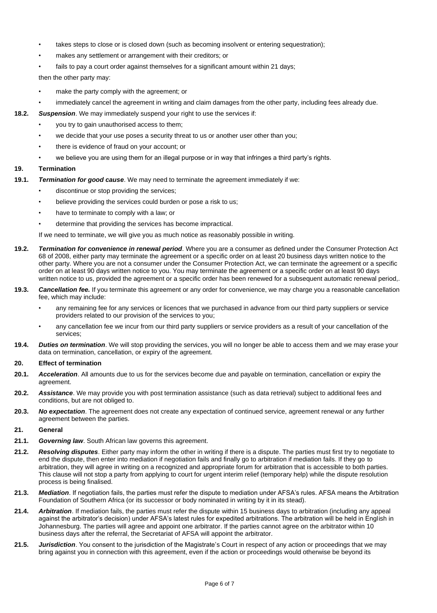- takes steps to close or is closed down (such as becoming insolvent or entering sequestration);
- makes any settlement or arrangement with their creditors; or
- fails to pay a court order against themselves for a significant amount within 21 days;

then the other party may:

- make the party comply with the agreement; or
- immediately cancel the agreement in writing and claim damages from the other party, including fees already due.
- **18.2.** *Suspension*. We may immediately suspend your right to use the services if:
	- you try to gain unauthorised access to them;
	- we decide that your use poses a security threat to us or another user other than you;
	- there is evidence of fraud on your account; or
	- we believe you are using them for an illegal purpose or in way that infringes a third party's rights.

## **19. Termination**

- **19.1.** *Termination for good cause*. We may need to terminate the agreement immediately if we:
	- discontinue or stop providing the services;
	- believe providing the services could burden or pose a risk to us;
	- have to terminate to comply with a law; or
	- determine that providing the services has become impractical.

If we need to terminate, we will give you as much notice as reasonably possible in writing.

- **19.2.** *Termination for convenience in renewal period*. Where you are a consumer as defined under the Consumer Protection Act 68 of 2008, either party may terminate the agreement or a specific order on at least 20 business days written notice to the other party. Where you are not a consumer under the Consumer Protection Act, we can terminate the agreement or a specific order on at least 90 days written notice to you. You may terminate the agreement or a specific order on at least 90 days written notice to us, provided the agreement or a specific order has been renewed for a subsequent automatic renewal period,.
- **19.3.** *Cancellation fee.* If you terminate this agreement or any order for convenience, we may charge you a reasonable cancellation fee, which may include:
	- any remaining fee for any services or licences that we purchased in advance from our third party suppliers or service providers related to our provision of the services to you;
	- any cancellation fee we incur from our third party suppliers or service providers as a result of your cancellation of the services;
- **19.4.** *Duties on termination*. We will stop providing the services, you will no longer be able to access them and we may erase your data on termination, cancellation, or expiry of the agreement.

## **20. Effect of termination**

- **20.1.** *Acceleration*. All amounts due to us for the services become due and payable on termination, cancellation or expiry the agreement.
- **20.2.** *Assistance*. We may provide you with post termination assistance (such as data retrieval) subject to additional fees and conditions, but are not obliged to.
- **20.3.** *No expectation*. The agreement does not create any expectation of continued service, agreement renewal or any further agreement between the parties.

# **21. General**

- **21.1.** *Governing law*. South African law governs this agreement.
- **21.2.** *Resolving disputes*. Either party may inform the other in writing if there is a dispute. The parties must first try to negotiate to end the dispute, then enter into mediation if negotiation fails and finally go to arbitration if mediation fails. If they go to arbitration, they will agree in writing on a recognized and appropriate forum for arbitration that is accessible to both parties. This clause will not stop a party from applying to court for urgent interim relief (temporary help) while the dispute resolution process is being finalised.
- **21.3.** *Mediation*. If negotiation fails, the parties must refer the dispute to mediation under AFSA's rules. AFSA means the Arbitration Foundation of Southern Africa (or its successor or body nominated in writing by it in its stead).
- **21.4.** *Arbitration*. If mediation fails, the parties must refer the dispute within 15 business days to arbitration (including any appeal against the arbitrator's decision) under AFSA's latest rules for expedited arbitrations. The arbitration will be held in English in Johannesburg. The parties will agree and appoint one arbitrator. If the parties cannot agree on the arbitrator within 10 business days after the referral, the Secretariat of AFSA will appoint the arbitrator.
- **21.5.** *Jurisdiction*. You consent to the jurisdiction of the Magistrate's Court in respect of any action or proceedings that we may bring against you in connection with this agreement, even if the action or proceedings would otherwise be beyond its